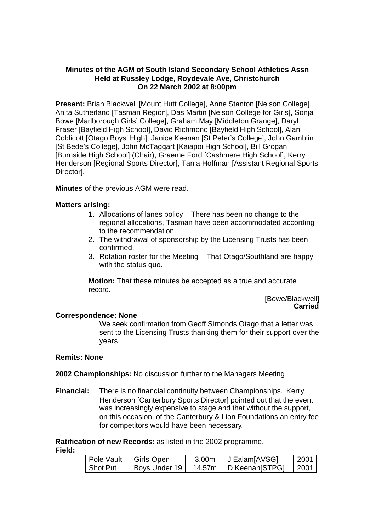# **Minutes of the AGM of South Island Secondary School Athletics Assn Held at Russley Lodge, Roydevale Ave, Christchurch On 22 March 2002 at 8:00pm**

**Present:** Brian Blackwell [Mount Hutt College], Anne Stanton [Nelson College], Anita Sutherland [Tasman Region], Das Martin [Nelson College for Girls], Sonja Bowe [Marlborough Girls' College], Graham May [Middleton Grange], Daryl Fraser [Bayfield High School], David Richmond [Bayfield High School], Alan Coldicott [Otago Boys' High], Janice Keenan [St Peter's College], John Gamblin [St Bede's College], John McTaggart [Kaiapoi High School], Bill Grogan [Burnside High School] (Chair), Graeme Ford [Cashmere High School], Kerry Henderson [Regional Sports Director], Tania Hoffman [Assistant Regional Sports Director].

**Minutes** of the previous AGM were read.

# **Matters arising:**

- 1. Allocations of lanes policy There has been no change to the regional allocations, Tasman have been accommodated according to the recommendation.
- 2. The withdrawal of sponsorship by the Licensing Trusts has been confirmed.
- 3. Rotation roster for the Meeting That Otago/Southland are happy with the status quo.

**Motion:** That these minutes be accepted as a true and accurate record.

> [Bowe/Blackwell] **Carried**

# **Correspondence: None**

We seek confirmation from Geoff Simonds Otago that a letter was sent to the Licensing Trusts thanking them for their support over the years.

# **Remits: None**

### **2002 Championships:** No discussion further to the Managers Meeting

**Financial:** There is no financial continuity between Championships. Kerry Henderson [Canterbury Sports Director] pointed out that the event was increasingly expensive to stage and that without the support, on this occasion, of the Canterbury & Lion Foundations an entry fee for competitors would have been necessary.

**Ratification of new Records:** as listed in the 2002 programme. **Field:**

| Pole Vault I Girls Open |               | 3.00m  | J Ealam[AVSG]  | 2001        |
|-------------------------|---------------|--------|----------------|-------------|
| Shot Put                | Boys Under 19 | 14.57m | D Keenan[STPG] | $\mid$ 2001 |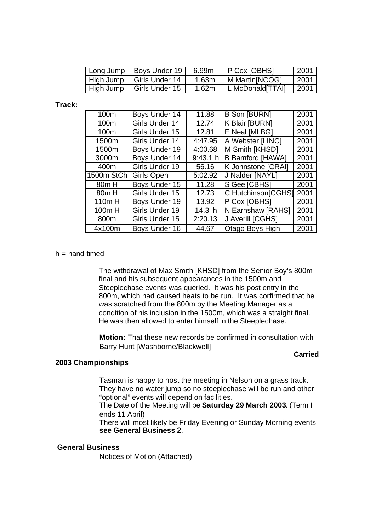| Long Jump | Boys Under 19              | 6.99m | P Cox [OBHS]     | 2001 |
|-----------|----------------------------|-------|------------------|------|
|           | High Jump   Girls Under 14 | 1.63m | M Martin [NCOG]  | 2001 |
| High Jump | Girls Under 15             | 1.62m | L McDonald[TTAI] | 2001 |

**Track:**

| 100m              | Boys Under 14     | 11.88             | <b>B Son [BURN]</b>     | 2001 |
|-------------------|-------------------|-------------------|-------------------------|------|
| 100m              | Girls Under 14    | 12.74             | K Blair [BURN]          | 2001 |
| 100m              | Girls Under 15    | 12.81             | E Neal [MLBG]           | 2001 |
| 1500m             | Girls Under 14    | 4:47.95           | A Webster [LINC]        | 2001 |
| 1500m             | Boys Under 19     | 4:00.68           | M Smith [KHSD]          | 2001 |
| 3000m             | Boys Under 14     | 9:43.1 h          | <b>B Bamford [HAWA]</b> | 2001 |
| 400m              | Girls Under 19    | 56.16             | K Johnstone [CRAI]      | 2001 |
| 1500m StCh        | <b>Girls Open</b> | 5:02.92           | J Nalder [NAYL]         | 2001 |
| 80 <sub>m</sub> H | Boys Under 15     | 11.28             | S Gee [CBHS]            | 2001 |
| 80 <sub>m</sub> H | Girls Under 15    | 12.73             | C Hutchinson[CGHS]      | 2001 |
| 110m H            | Boys Under 19     | 13.92             | P Cox [OBHS]            | 2001 |
| 100m H            | Girls Under 19    | 14.3 <sub>h</sub> | N Earnshaw [RAHS]       | 2001 |
| 800m              | Girls Under 15    | 2:20.13           | J Averill [CGHS]        | 2001 |
| 4x100m            | Boys Under 16     | 44.67             | Otago Boys High         | 2001 |

### $h =$  hand timed

The withdrawal of Max Smith [KHSD] from the Senior Boy's 800m final and his subsequent appearances in the 1500m and Steeplechase events was queried. It was his post entry in the 800m, which had caused heats to be run. It was confirmed that he was scratched from the 800m by the Meeting Manager as a condition of his inclusion in the 1500m, which was a straight final. He was then allowed to enter himself in the Steeplechase.

**Motion:** That these new records be confirmed in consultation with Barry Hunt [Washborne/Blackwell]

#### **Carried**

#### **2003 Championships**

Tasman is happy to host the meeting in Nelson on a grass track. They have no water jump so no steeplechase will be run and other "optional" events will depend on facilities.

The Date of the Meeting will be **Saturday 29 March 2003**. (Term I ends 11 April)

There will most likely be Friday Evening or Sunday Morning events **see General Business 2**.

# **General Business**

Notices of Motion (Attached)